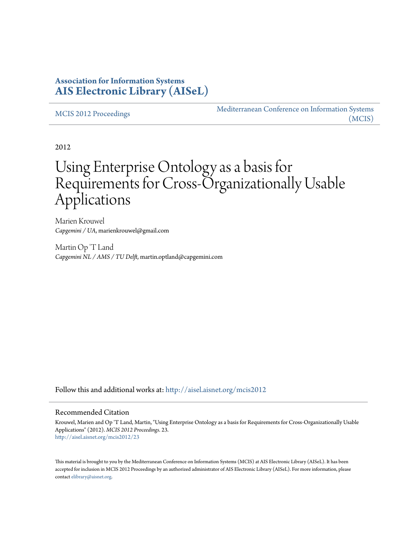# **Association for Information Systems [AIS Electronic Library \(AISeL\)](http://aisel.aisnet.org?utm_source=aisel.aisnet.org%2Fmcis2012%2F23&utm_medium=PDF&utm_campaign=PDFCoverPages)**

[MCIS 2012 Proceedings](http://aisel.aisnet.org/mcis2012?utm_source=aisel.aisnet.org%2Fmcis2012%2F23&utm_medium=PDF&utm_campaign=PDFCoverPages)

[Mediterranean Conference on Information Systems](http://aisel.aisnet.org/mcis?utm_source=aisel.aisnet.org%2Fmcis2012%2F23&utm_medium=PDF&utm_campaign=PDFCoverPages) [\(MCIS\)](http://aisel.aisnet.org/mcis?utm_source=aisel.aisnet.org%2Fmcis2012%2F23&utm_medium=PDF&utm_campaign=PDFCoverPages)

2012

# Using Enterprise Ontology as a basis for Requirements for Cross-Organizationally Usable Applications

Marien Krouwel *Capgemini / UA*, marienkrouwel@gmail.com

Martin Op 'T Land *Capgemini NL / AMS / TU Delft*, martin.optland@capgemini.com

Follow this and additional works at: [http://aisel.aisnet.org/mcis2012](http://aisel.aisnet.org/mcis2012?utm_source=aisel.aisnet.org%2Fmcis2012%2F23&utm_medium=PDF&utm_campaign=PDFCoverPages)

#### Recommended Citation

Krouwel, Marien and Op 'T Land, Martin, "Using Enterprise Ontology as a basis for Requirements for Cross-Organizationally Usable Applications" (2012). *MCIS 2012 Proceedings*. 23. [http://aisel.aisnet.org/mcis2012/23](http://aisel.aisnet.org/mcis2012/23?utm_source=aisel.aisnet.org%2Fmcis2012%2F23&utm_medium=PDF&utm_campaign=PDFCoverPages)

This material is brought to you by the Mediterranean Conference on Information Systems (MCIS) at AIS Electronic Library (AISeL). It has been accepted for inclusion in MCIS 2012 Proceedings by an authorized administrator of AIS Electronic Library (AISeL). For more information, please contact [elibrary@aisnet.org.](mailto:elibrary@aisnet.org%3E)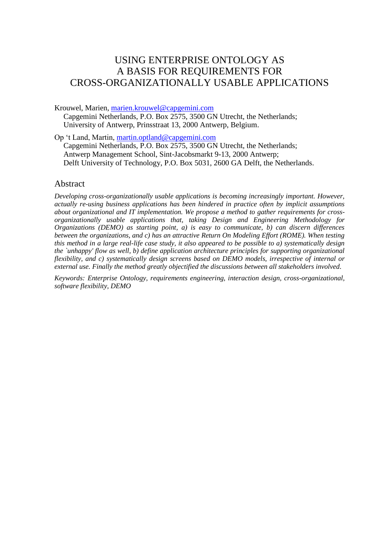# USING ENTERPRISE ONTOLOGY AS A BASIS FOR REQUIREMENTS FOR CROSS-ORGANIZATIONALLY USABLE APPLICATIONS

Krouwel, Marien, [marien.krouwel@capgemini.com](mailto:marien.krouwel@capgemini.com)

Capgemini Netherlands, P.O. Box 2575, 3500 GN Utrecht, the Netherlands; University of Antwerp, Prinsstraat 13, 2000 Antwerp, Belgium.

Op 't Land, Martin, [martin.optland@capgemini.com](mailto:martin.optland@capgemini.com)

Capgemini Netherlands, P.O. Box 2575, 3500 GN Utrecht, the Netherlands; Antwerp Management School, Sint-Jacobsmarkt 9-13, 2000 Antwerp; Delft University of Technology, P.O. Box 5031, 2600 GA Delft, the Netherlands.

#### Abstract

*Developing cross-organizationally usable applications is becoming increasingly important. However, actually re-using business applications has been hindered in practice often by implicit assumptions about organizational and IT implementation. We propose a method to gather requirements for crossorganizationally usable applications that, taking Design and Engineering Methodology for Organizations (DEMO) as starting point, a) is easy to communicate, b) can discern differences between the organizations, and c) has an attractive Return On Modeling Effort (ROME). When testing this method in a large real-life case study, it also appeared to be possible to a) systematically design the `unhappy' flow as well, b) define application architecture principles for supporting organizational flexibility, and c) systematically design screens based on DEMO models, irrespective of internal or external use. Finally the method greatly objectified the discussions between all stakeholders involved.*

*Keywords: Enterprise Ontology, requirements engineering, interaction design, cross-organizational, software flexibility, DEMO*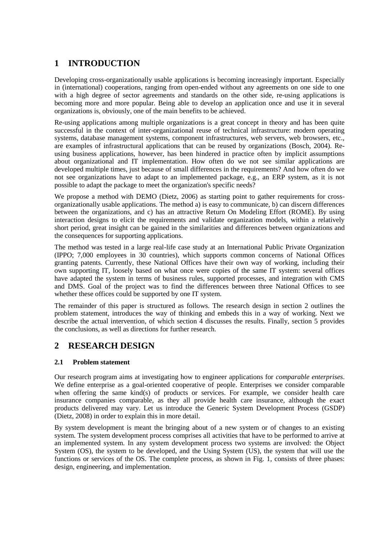# **1 INTRODUCTION**

Developing cross-organizationally usable applications is becoming increasingly important. Especially in (international) cooperations, ranging from open-ended without any agreements on one side to one with a high degree of sector agreements and standards on the other side, re-using applications is becoming more and more popular. Being able to develop an application once and use it in several organizations is, obviously, one of the main benefits to be achieved.

Re-using applications among multiple organizations is a great concept in theory and has been quite successful in the context of inter-organizational reuse of technical infrastructure: modern operating systems, database management systems, component infrastructures, web servers, web browsers, etc., are examples of infrastructural applications that can be reused by organizations (Bosch, 2004). Reusing business applications, however, has been hindered in practice often by implicit assumptions about organizational and IT implementation. How often do we not see similar applications are developed multiple times, just because of small differences in the requirements? And how often do we not see organizations have to adapt to an implemented package, e.g., an ERP system, as it is not possible to adapt the package to meet the organization's specific needs?

We propose a method with DEMO (Dietz, 2006) as starting point to gather requirements for crossorganizationally usable applications. The method a) is easy to communicate, b) can discern differences between the organizations, and c) has an attractive Return On Modeling Effort (ROME). By using interaction designs to elicit the requirements and validate organization models, within a relatively short period, great insight can be gained in the similarities and differences between organizations and the consequences for supporting applications.

The method was tested in a large real-life case study at an International Public Private Organization (IPPO; 7,000 employees in 30 countries), which supports common concerns of National Offices granting patents. Currently, these National Offices have their own way of working, including their own supporting IT, loosely based on what once were copies of the same IT system: several offices have adapted the system in terms of business rules, supported processes, and integration with CMS and DMS. Goal of the project was to find the differences between three National Offices to see whether these offices could be supported by one IT system.

The remainder of this paper is structured as follows. The research design in section 2 outlines the problem statement, introduces the way of thinking and embeds this in a way of working. Next we describe the actual intervention, of which section 4 discusses the results. Finally, section 5 provides the conclusions, as well as directions for further research.

# **2 RESEARCH DESIGN**

#### **2.1 Problem statement**

Our research program aims at investigating how to engineer applications for *comparable enterprises*. We define enterprise as a goal-oriented cooperative of people. Enterprises we consider comparable when offering the same kind(s) of products or services. For example, we consider health care insurance companies comparable, as they all provide health care insurance, although the exact products delivered may vary. Let us introduce the Generic System Development Process (GSDP) (Dietz, 2008) in order to explain this in more detail.

By system development is meant the bringing about of a new system or of changes to an existing system. The system development process comprises all activities that have to be performed to arrive at an implemented system. In any system development process two systems are involved: the Object System (OS), the system to be developed, and the Using System (US), the system that will use the functions or services of the OS. The complete process, as shown in Fig. 1, consists of three phases: design, engineering, and implementation.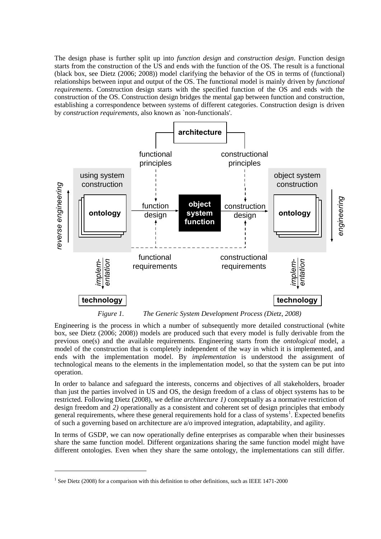The design phase is further split up into *function design* and *construction design*. Function design starts from the construction of the US and ends with the function of the OS. The result is a functional (black box, see Dietz (2006; 2008)) model clarifying the behavior of the OS in terms of (functional) relationships between input and output of the OS. The functional model is mainly driven by *functional requirements*. Construction design starts with the specified function of the OS and ends with the construction of the OS. Construction design bridges the mental gap between function and construction, establishing a correspondence between systems of different categories. Construction design is driven by *construction requirements*, also known as `non-functionals'.



*Figure 1. The Generic System Development Process (Dietz, 2008)*

Engineering is the process in which a number of subsequently more detailed constructional (white box, see Dietz (2006; 2008)) models are produced such that every model is fully derivable from the previous one(s) and the available requirements. Engineering starts from the *ontological* model, a model of the construction that is completely independent of the way in which it is implemented, and ends with the implementation model. By *implementation* is understood the assignment of technological means to the elements in the implementation model, so that the system can be put into operation.

In order to balance and safeguard the interests, concerns and objectives of all stakeholders, broader than just the parties involved in US and OS, the design freedom of a class of object systems has to be restricted. Following Dietz (2008), we define *architecture 1)* conceptually as a normative restriction of design freedom and *2)* operationally as a consistent and coherent set of design principles that embody general requirements, where these general requirements hold for a class of systems<sup>1</sup>. Expected benefits of such a governing based on architecture are a/o improved integration, adaptability, and agility.

In terms of GSDP, we can now operationally define enterprises as comparable when their businesses share the same function model. Different organizations sharing the same function model might have different ontologies. Even when they share the same ontology, the implementations can still differ.

1

 $<sup>1</sup>$  See Dietz (2008) for a comparison with this definition to other definitions, such as IEEE 1471-2000</sup>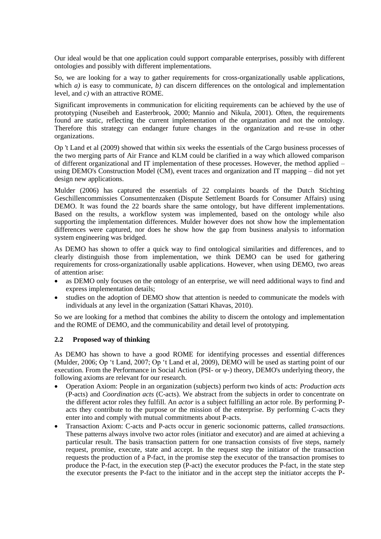Our ideal would be that one application could support comparable enterprises, possibly with different ontologies and possibly with different implementations.

So, we are looking for a way to gather requirements for cross-organizationally usable applications, which *a*) is easy to communicate, *b*) can discern differences on the ontological and implementation level, and *c)* with an attractive ROME.

Significant improvements in communication for eliciting requirements can be achieved by the use of prototyping (Nuseibeh and Easterbrook, 2000; Mannio and Nikula, 2001). Often, the requirements found are static, reflecting the current implementation of the organization and not the ontology. Therefore this strategy can endanger future changes in the organization and re-use in other organizations.

Op 't Land et al (2009) showed that within six weeks the essentials of the Cargo business processes of the two merging parts of Air France and KLM could be clarified in a way which allowed comparison of different organizational and IT implementation of these processes. However, the method applied – using DEMO's Construction Model (CM), event traces and organization and IT mapping – did not yet design new applications.

Mulder (2006) has captured the essentials of 22 complaints boards of the Dutch Stichting Geschillencommissies Consumentenzaken (Dispute Settlement Boards for Consumer Affairs) using DEMO. It was found the 22 boards share the same ontology, but have different implementations. Based on the results, a workflow system was implemented, based on the ontology while also supporting the implementation differences. Mulder however does not show how the implementation differences were captured, nor does he show how the gap from business analysis to information system engineering was bridged.

As DEMO has shown to offer a quick way to find ontological similarities and differences, and to clearly distinguish those from implementation, we think DEMO can be used for gathering requirements for cross-organizationally usable applications. However, when using DEMO, two areas of attention arise:

- as DEMO only focuses on the ontology of an enterprise, we will need additional ways to find and express implementation details;
- studies on the adoption of DEMO show that attention is needed to communicate the models with individuals at any level in the organization (Sattari Khavas, 2010).

So we are looking for a method that combines the ability to discern the ontology and implementation and the ROME of DEMO, and the communicability and detail level of prototyping.

#### **2.2 Proposed way of thinking**

As DEMO has shown to have a good ROME for identifying processes and essential differences (Mulder, 2006; Op 't Land, 2007; Op 't Land et al, 2009), DEMO will be used as starting point of our execution. From the Performance in Social Action (PSI- or ψ-) theory, DEMO's underlying theory, the following axioms are relevant for our research.

- Operation Axiom: People in an organization (subjects) perform two kinds of acts: *Production acts* (P-acts) and *Coordination acts* (C-acts). We abstract from the subjects in order to concentrate on the different actor roles they fulfill. An *actor* is a subject fulfilling an actor role. By performing Pacts they contribute to the purpose or the mission of the enterprise. By performing C-acts they enter into and comply with mutual commitments about P-acts.
- Transaction Axiom: C-acts and P-acts occur in generic socionomic patterns, called *transactions*. These patterns always involve two actor roles (initiator and executor) and are aimed at achieving a particular result. The basis transaction pattern for one transaction consists of five steps, namely request, promise, execute, state and accept. In the request step the initiator of the transaction requests the production of a P-fact, in the promise step the executor of the transaction promises to produce the P-fact, in the execution step (P-act) the executor produces the P-fact, in the state step the executor presents the P-fact to the initiator and in the accept step the initiator accepts the P-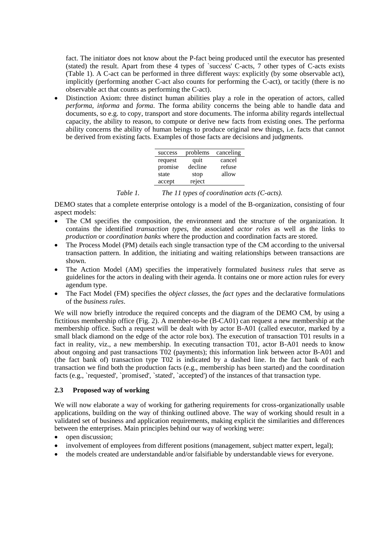fact. The initiator does not know about the P-fact being produced until the executor has presented (stated) the result. Apart from these 4 types of `success' C-acts, 7 other types of C-acts exists (Table 1). A C-act can be performed in three different ways: explicitly (by some observable act), implicitly (performing another C-act also counts for performing the C-act), or tacitly (there is no observable act that counts as performing the C-act).

 Distinction Axiom: three distinct human abilities play a role in the operation of actors, called *performa*, *informa* and *forma*. The forma ability concerns the being able to handle data and documents, so e.g. to copy, transport and store documents. The informa ability regards intellectual capacity, the ability to reason, to compute or derive new facts from existing ones. The performa ability concerns the ability of human beings to produce original new things, i.e. facts that cannot be derived from existing facts. Examples of those facts are decisions and judgments.

| success | problems | canceling |
|---------|----------|-----------|
| request | quit     | cancel    |
| promise | decline  | refuse    |
| state   | stop     | allow     |
| accept  | reject   |           |

| Table 1. |  | The 11 types of coordination acts (C-acts). |  |
|----------|--|---------------------------------------------|--|
|----------|--|---------------------------------------------|--|

DEMO states that a complete enterprise ontology is a model of the B-organization, consisting of four aspect models:

- The CM specifies the composition, the environment and the structure of the organization. It contains the identified *transaction types*, the associated *actor roles* as well as the links to *production* or *coordination banks* where the production and coordination facts are stored.
- The Process Model (PM) details each single transaction type of the CM according to the universal transaction pattern. In addition, the initiating and waiting relationships between transactions are shown.
- The Action Model (AM) specifies the imperatively formulated *business rules* that serve as guidelines for the actors in dealing with their agenda. It contains one or more action rules for every agendum type.
- The Fact Model (FM) specifies the *object classes*, the *fact types* and the declarative formulations of the *business rules*.

We will now briefly introduce the required concepts and the diagram of the DEMO CM, by using a fictitious membership office (Fig. 2). A member-to-be (B-CA01) can request a new membership at the membership office. Such a request will be dealt with by actor B-A01 (called executor, marked by a small black diamond on the edge of the actor role box). The execution of transaction T01 results in a fact in reality, viz., a new membership. In executing transaction T01, actor B-A01 needs to know about ongoing and past transactions T02 (payments); this information link between actor B-A01 and (the fact bank of) transaction type T02 is indicated by a dashed line. In the fact bank of each transaction we find both the production facts (e.g., membership has been started) and the coordination facts (e.g., `requested', `promised', `stated', `accepted') of the instances of that transaction type.

#### **2.3 Proposed way of working**

We will now elaborate a way of working for gathering requirements for cross-organizationally usable applications, building on the way of thinking outlined above. The way of working should result in a validated set of business and application requirements, making explicit the similarities and differences between the enterprises. Main principles behind our way of working were:

- open discussion;
- involvement of employees from different positions (management, subject matter expert, legal);
- the models created are understandable and/or falsifiable by understandable views for everyone.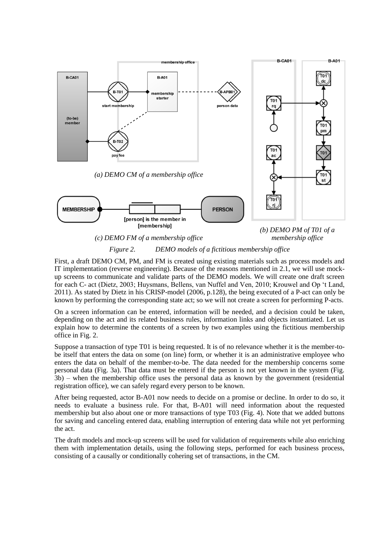

*(c) DEMO FM of a membership office membership office*

*(b) DEMO PM of T01 of a* 

#### *Figure 2. DEMO models of a fictitious membership office*

First, a draft DEMO CM, PM, and FM is created using existing materials such as process models and IT implementation (reverse engineering). Because of the reasons mentioned in 2.1, we will use mockup screens to communicate and validate parts of the DEMO models. We will create one draft screen for each C- act (Dietz, 2003; Huysmans, Bellens, van Nuffel and Ven, 2010; Krouwel and Op 't Land, 2011). As stated by Dietz in his CRISP-model (2006, p.128), the being executed of a P-act can only be known by performing the corresponding state act; so we will not create a screen for performing P-acts.

On a screen information can be entered, information will be needed, and a decision could be taken, depending on the act and its related business rules, information links and objects instantiated. Let us explain how to determine the contents of a screen by two examples using the fictitious membership office in Fig. 2.

Suppose a transaction of type T01 is being requested. It is of no relevance whether it is the member-tobe itself that enters the data on some (on line) form, or whether it is an administrative employee who enters the data on behalf of the member-to-be. The data needed for the membership concerns some personal data (Fig. 3a). That data must be entered if the person is not yet known in the system (Fig. 3b) – when the membership office uses the personal data as known by the government (residential registration office), we can safely regard every person to be known.

After being requested, actor B-A01 now needs to decide on a promise or decline. In order to do so, it needs to evaluate a business rule. For that, B-A01 will need information about the requested membership but also about one or more transactions of type T03 (Fig. 4). Note that we added buttons for saving and canceling entered data, enabling interruption of entering data while not yet performing the act.

The draft models and mock-up screens will be used for validation of requirements while also enriching them with implementation details, using the following steps, performed for each business process, consisting of a causally or conditionally cohering set of transactions, in the CM.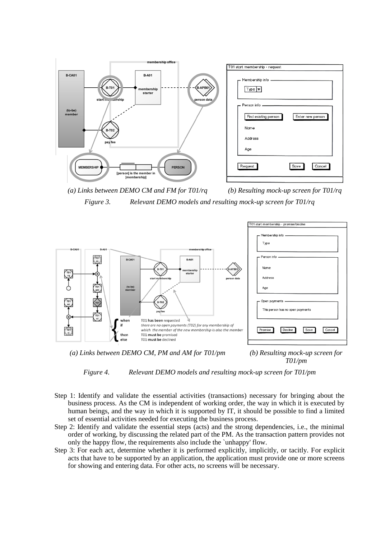

*(a) Links between DEMO CM and FM for T01/rq (b) Resulting mock-up screen for T01/rq Figure 3. Relevant DEMO models and resulting mock-up screen for T01/rq*



*(a) Links between DEMO CM, PM and AM for T01/pm (b) Resulting mock-up screen for* 

*T01/pm*



- Step 1: Identify and validate the essential activities (transactions) necessary for bringing about the business process. As the CM is independent of working order, the way in which it is executed by human beings, and the way in which it is supported by IT, it should be possible to find a limited set of essential activities needed for executing the business process.
- Step 2: Identify and validate the essential steps (acts) and the strong dependencies, i.e., the minimal order of working, by discussing the related part of the PM. As the transaction pattern provides not only the happy flow, the requirements also include the `unhappy' flow.
- Step 3: For each act, determine whether it is performed explicitly, implicitly, or tacitly. For explicit acts that have to be supported by an application, the application must provide one or more screens for showing and entering data. For other acts, no screens will be necessary.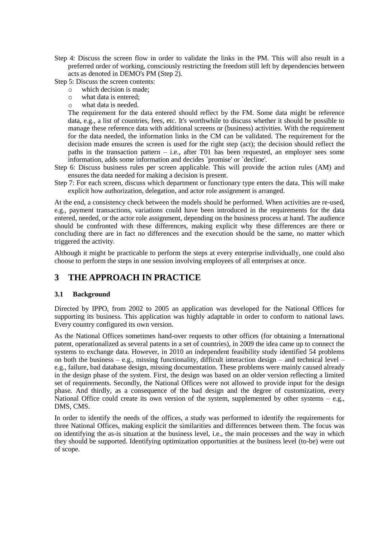- Step 4: Discuss the screen flow in order to validate the links in the PM. This will also result in a preferred order of working, consciously restricting the freedom still left by dependencies between acts as denoted in DEMO's PM (Step 2).
- Step 5: Discuss the screen contents:
	- o which decision is made;
	- o what data is entered;
	- o what data is needed.

The requirement for the data entered should reflect by the FM. Some data might be reference data, e.g., a list of countries, fees, etc. It's worthwhile to discuss whether it should be possible to manage these reference data with additional screens or (business) activities. With the requirement for the data needed, the information links in the CM can be validated. The requirement for the decision made ensures the screen is used for the right step (act); the decision should reflect the paths in the transaction pattern  $-$  i.e., after T01 has been requested, an employer sees some information, adds some information and decides `promise' or `decline'.

- Step 6: Discuss business rules per screen applicable. This will provide the action rules (AM) and ensures the data needed for making a decision is present.
- Step 7: For each screen, discuss which department or functionary type enters the data. This will make explicit how authorization, delegation, and actor role assignment is arranged.

At the end, a consistency check between the models should be performed. When activities are re-used, e.g., payment transactions, variations could have been introduced in the requirements for the data entered, needed, or the actor role assignment, depending on the business process at hand. The audience should be confronted with these differences, making explicit why these differences are there or concluding there are in fact no differences and the execution should be the same, no matter which triggered the activity.

Although it might be practicable to perform the steps at every enterprise individually, one could also choose to perform the steps in one session involving employees of all enterprises at once.

### **3 THE APPROACH IN PRACTICE**

#### **3.1 Background**

Directed by IPPO, from 2002 to 2005 an application was developed for the National Offices for supporting its business. This application was highly adaptable in order to conform to national laws. Every country configured its own version.

As the National Offices sometimes hand-over requests to other offices (for obtaining a International patent, operationalized as several patents in a set of countries), in 2009 the idea came up to connect the systems to exchange data. However, in 2010 an independent feasibility study identified 54 problems on both the business – e.g., missing functionality, difficult interaction design – and technical level – e.g., failure, bad database design, missing documentation. These problems were mainly caused already in the design phase of the system. First, the design was based on an older version reflecting a limited set of requirements. Secondly, the National Offices were not allowed to provide input for the design phase. And thirdly, as a consequence of the bad design and the degree of customization, every National Office could create its own version of the system, supplemented by other systems  $-$  e.g., DMS, CMS.

In order to identify the needs of the offices, a study was performed to identify the requirements for three National Offices, making explicit the similarities and differences between them. The focus was on identifying the as-is situation at the business level, i.e., the main processes and the way in which they should be supported. Identifying optimization opportunities at the business level (to-be) were out of scope.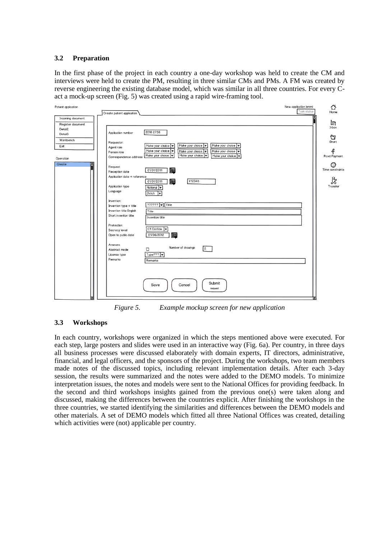#### **3.2 Preparation**

In the first phase of the project in each country a one-day workshop was held to create the CM and interviews were held to create the PM, resulting in three similar CMs and PMs. A FM was created by reverse engineering the existing database model, which was similar in all three countries. For every Cact a mock-up screen (Fig. 5) was created using a rapid wire-framing tool.



*Figure 5. Example mockup screen for new application*

#### **3.3 Workshops**

In each country, workshops were organized in which the steps mentioned above were executed. For each step, large posters and slides were used in an interactive way (Fig. 6a). Per country, in three days all business processes were discussed elaborately with domain experts, IT directors, administrative, financial, and legal officers, and the sponsors of the project. During the workshops, two team members made notes of the discussed topics, including relevant implementation details. After each 3-day session, the results were summarized and the notes were added to the DEMO models. To minimize interpretation issues, the notes and models were sent to the National Offices for providing feedback. In the second and third workshops insights gained from the previous one(s) were taken along and discussed, making the differences between the countries explicit. After finishing the workshops in the three countries, we started identifying the similarities and differences between the DEMO models and other materials. A set of DEMO models which fitted all three National Offices was created, detailing which activities were (not) applicable per country.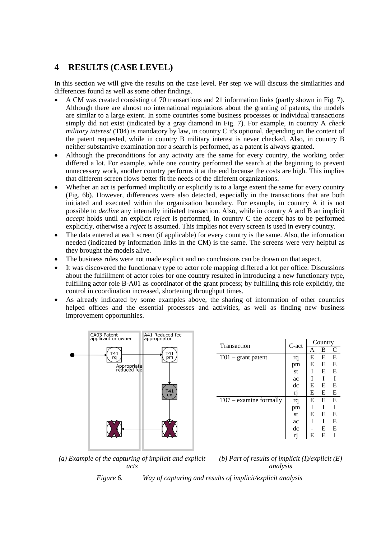# **4 RESULTS (CASE LEVEL)**

In this section we will give the results on the case level. Per step we will discuss the similarities and differences found as well as some other findings.

- A CM was created consisting of 70 transactions and 21 information links (partly shown in Fig. 7). Although there are almost no international regulations about the granting of patents, the models are similar to a large extent. In some countries some business processes or individual transactions simply did not exist (indicated by a gray diamond in Fig. 7). For example, in country A *check military interest* (T04) is mandatory by law, in country C it's optional, depending on the content of the patent requested, while in country B military interest is never checked. Also, in country B neither substantive examination nor a search is performed, as a patent is always granted.
- Although the preconditions for any activity are the same for every country, the working order differed a lot. For example, while one country performed the search at the beginning to prevent unnecessary work, another country performs it at the end because the costs are high. This implies that different screen flows better fit the needs of the different organizations.
- Whether an act is performed implicitly or explicitly is to a large extent the same for every country (Fig. 6b). However, differences were also detected, especially in the transactions that are both initiated and executed within the organization boundary. For example, in country A it is not possible to *decline* any internally initiated transaction. Also, while in country A and B an implicit *accept* holds until an explicit *reject* is performed, in country C the *accept* has to be performed explicitly, otherwise a *reject* is assumed. This implies not every screen is used in every country.
- The data entered at each screen (if applicable) for every country is the same. Also, the information needed (indicated by information links in the CM) is the same. The screens were very helpful as they brought the models alive.
- The business rules were not made explicit and no conclusions can be drawn on that aspect.
- It was discovered the functionary type to actor role mapping differed a lot per office. Discussions about the fulfillment of actor roles for one country resulted in introducing a new functionary type, fulfilling actor role B-A01 as coordinator of the grant process; by fulfilling this role explicitly, the control in coordination increased, shortening throughput times.
- As already indicated by some examples above, the sharing of information of other countries helped offices and the essential processes and activities, as well as finding new business improvement opportunities.



| Transaction                         | C-act | Country |   |   |
|-------------------------------------|-------|---------|---|---|
|                                     |       | Α       | В | C |
| $T01 - grant$ patent                | rq    | E       | E | E |
|                                     | pm    | E       | E | E |
|                                     | st    | I       | E | E |
|                                     | ac    | I       | T | I |
|                                     | dc    | E       | E | E |
|                                     | rj    | E       | E | E |
| $\overline{TO7}$ – examine formally | rq    | E       | Е | E |
|                                     | pm    | I       | I | I |
|                                     | st    | E       | E | E |
|                                     | ac    | T       |   | E |
|                                     | dc    |         | E | E |
|                                     | rj    | E       | E |   |

*(a) Example of the capturing of implicit and explicit acts*

*(b) Part of results of implicit (I)/explicit (E) analysis*

*Figure 6. Way of capturing and results of implicit/explicit analysis*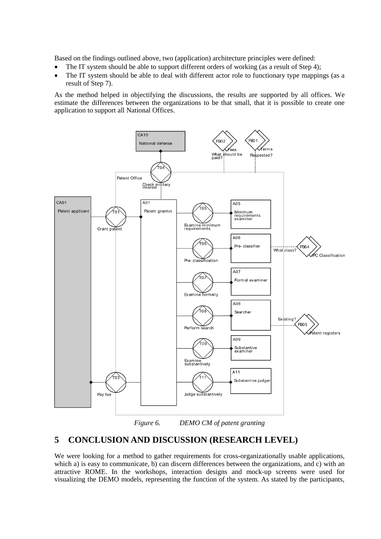Based on the findings outlined above, two (application) architecture principles were defined:

- $\bullet$  The IT system should be able to support different orders of working (as a result of Step 4);
- The IT system should be able to deal with different actor role to functionary type mappings (as a result of Step 7).

As the method helped in objectifying the discussions, the results are supported by all offices. We estimate the differences between the organizations to be that small, that it is possible to create one application to support all National Offices.



*Figure 6. DEMO CM of patent granting*

# **5 CONCLUSION AND DISCUSSION (RESEARCH LEVEL)**

We were looking for a method to gather requirements for cross-organizationally usable applications, which a) is easy to communicate, b) can discern differences between the organizations, and c) with an attractive ROME. In the workshops, interaction designs and mock-up screens were used for visualizing the DEMO models, representing the function of the system. As stated by the participants,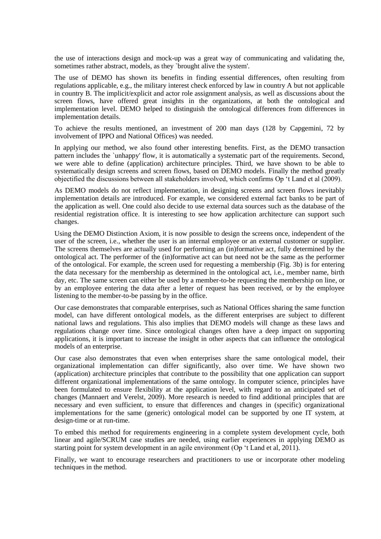the use of interactions design and mock-up was a great way of communicating and validating the, sometimes rather abstract, models, as they `brought alive the system'.

The use of DEMO has shown its benefits in finding essential differences, often resulting from regulations applicable, e.g., the military interest check enforced by law in country A but not applicable in country B. The implicit/explicit and actor role assignment analysis, as well as discussions about the screen flows, have offered great insights in the organizations, at both the ontological and implementation level. DEMO helped to distinguish the ontological differences from differences in implementation details.

To achieve the results mentioned, an investment of 200 man days (128 by Capgemini, 72 by involvement of IPPO and National Offices) was needed.

In applying our method, we also found other interesting benefits. First, as the DEMO transaction pattern includes the `unhappy' flow, it is automatically a systematic part of the requirements. Second, we were able to define (application) architecture principles. Third, we have shown to be able to systematically design screens and screen flows, based on DEMO models. Finally the method greatly objectified the discussions between all stakeholders involved, which confirms Op 't Land et al (2009).

As DEMO models do not reflect implementation, in designing screens and screen flows inevitably implementation details are introduced. For example, we considered external fact banks to be part of the application as well. One could also decide to use external data sources such as the database of the residential registration office. It is interesting to see how application architecture can support such changes.

Using the DEMO Distinction Axiom, it is now possible to design the screens once, independent of the user of the screen, i.e., whether the user is an internal employee or an external customer or supplier. The screens themselves are actually used for performing an (in)formative act, fully determined by the ontological act. The performer of the (in)formative act can but need not be the same as the performer of the ontological. For example, the screen used for requesting a membership (Fig. 3b) is for entering the data necessary for the membership as determined in the ontological act, i.e., member name, birth day, etc. The same screen can either be used by a member-to-be requesting the membership on line, or by an employee entering the data after a letter of request has been received, or by the employee listening to the member-to-be passing by in the office.

Our case demonstrates that comparable enterprises, such as National Offices sharing the same function model, can have different ontological models, as the different enterprises are subject to different national laws and regulations. This also implies that DEMO models will change as these laws and regulations change over time. Since ontological changes often have a deep impact on supporting applications, it is important to increase the insight in other aspects that can influence the ontological models of an enterprise.

Our case also demonstrates that even when enterprises share the same ontological model, their organizational implementation can differ significantly, also over time. We have shown two (application) architecture principles that contribute to the possibility that one application can support different organizational implementations of the same ontology. In computer science, principles have been formulated to ensure flexibility at the application level, with regard to an anticipated set of changes (Mannaert and Verelst, 2009). More research is needed to find additional principles that are necessary and even sufficient, to ensure that differences and changes in (specific) organizational implementations for the same (generic) ontological model can be supported by one IT system, at design-time or at run-time.

To embed this method for requirements engineering in a complete system development cycle, both linear and agile/SCRUM case studies are needed, using earlier experiences in applying DEMO as starting point for system development in an agile environment (Op 't Land et al, 2011).

Finally, we want to encourage researchers and practitioners to use or incorporate other modeling techniques in the method.